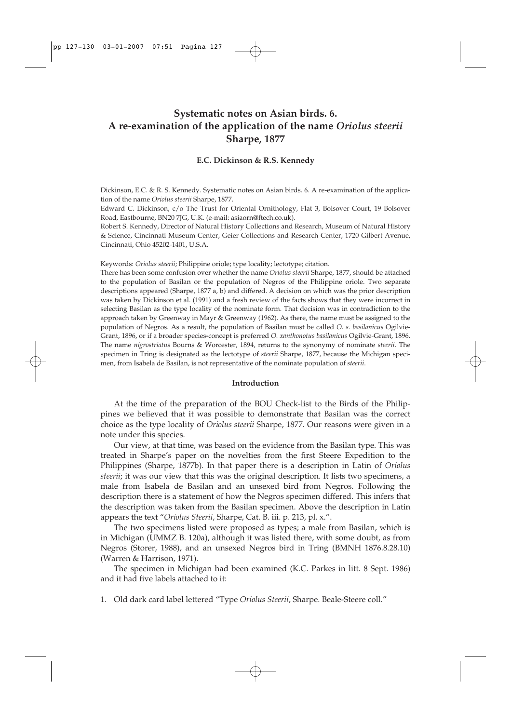# **Systematic notes on Asian birds. 6. A re-examination of the application of the name** *Oriolus steerii* **Sharpe, 1877**

## **E.C. Dickinson & R.S. Kennedy**

Dickinson, E.C. & R. S. Kennedy. Systematic notes on Asian birds. 6. A re-examination of the application of the name *Oriolus steerii* Sharpe, 1877.

Edward C. Dickinson, c/o The Trust for Oriental Ornithology, Flat 3, Bolsover Court, 19 Bolsover Road, Eastbourne, BN20 7JG, U.K. (e-mail: asiaorn@ftech.co.uk).

Robert S. Kennedy, Director of Natural History Collections and Research, Museum of Natural History & Science, Cincinnati Museum Center, Geier Collections and Research Center, 1720 Gilbert Avenue, Cincinnati, Ohio 45202-1401, U.S.A.

Keywords: *Oriolus steerii*; Philippine oriole; type locality; lectotype; citation.

There has been some confusion over whether the name *Oriolus steerii* Sharpe, 1877, should be attached to the population of Basilan or the population of Negros of the Philippine oriole. Two separate descriptions appeared (Sharpe, 1877 a, b) and differed. A decision on which was the prior description was taken by Dickinson et al. (1991) and a fresh review of the facts shows that they were incorrect in selecting Basilan as the type locality of the nominate form. That decision was in contradiction to the approach taken by Greenway in Mayr & Greenway (1962). As there, the name must be assigned to the population of Negros. As a result, the population of Basilan must be called *O. s. basilanicus* Ogilvie-Grant, 1896, or if a broader species**-**concept is preferred *O. xanthonotus basilanicus* Ogilvie-Grant, 1896. The name *nigrostriatus* Bourns & Worcester, 1894, returns to the synonymy of nominate *steerii*. The specimen in Tring is designated as the lectotype of *steerii* Sharpe, 1877, because the Michigan specimen, from Isabela de Basilan, is not representative of the nominate population of *steerii*.

#### **Introduction**

At the time of the preparation of the BOU Check-list to the Birds of the Philippines we believed that it was possible to demonstrate that Basilan was the correct choice as the type locality of *Oriolus steerii* Sharpe, 1877. Our reasons were given in a note under this species.

Our view, at that time, was based on the evidence from the Basilan type. This was treated in Sharpe's paper on the novelties from the first Steere Expedition to the Philippines (Sharpe, 1877b). In that paper there is a description in Latin of *Oriolus steerii*; it was our view that this was the original description. It lists two specimens, a male from Isabela de Basilan and an unsexed bird from Negros. Following the description there is a statement of how the Negros specimen differed. This infers that the description was taken from the Basilan specimen. Above the description in Latin appears the text "*Oriolus Steerii*, Sharpe, Cat. B. iii. p. 213, pl. x.".

The two specimens listed were proposed as types; a male from Basilan, which is in Michigan (UMMZ B. 120a), although it was listed there, with some doubt, as from Negros (Storer, 1988), and an unsexed Negros bird in Tring (BMNH 1876.8.28.10) (Warren & Harrison, 1971).

The specimen in Michigan had been examined (K.C. Parkes in litt. 8 Sept. 1986) and it had five labels attached to it:

1. Old dark card label lettered "Type *Oriolus Steerii*, Sharpe. Beale-Steere coll."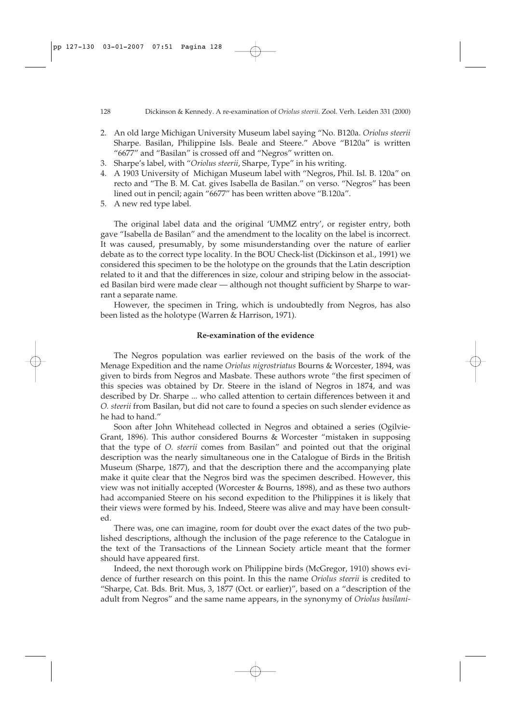- 2. An old large Michigan University Museum label saying "No. B120a. *Oriolus steerii* Sharpe. Basilan, Philippine Isls. Beale and Steere." Above "B120a" is written "6677" and "Basilan" is crossed off and "Negros" written on.
- 3. Sharpe's label, with "*Oriolus steerii*, Sharpe, Type" in his writing.
- 4. A 1903 University of Michigan Museum label with "Negros, Phil. Isl. B. 120a" on recto and "The B. M. Cat. gives Isabella de Basilan." on verso. "Negros" has been lined out in pencil; again "6677" has been written above "B.120a".
- 5. A new red type label.

The original label data and the original 'UMMZ entry', or register entry, both gave "Isabella de Basilan" and the amendment to the locality on the label is incorrect. It was caused, presumably, by some misunderstanding over the nature of earlier debate as to the correct type locality. In the BOU Check-list (Dickinson et al., 1991) we considered this specimen to be the holotype on the grounds that the Latin description related to it and that the differences in size, colour and striping below in the associated Basilan bird were made clear — although not thought sufficient by Sharpe to warrant a separate name.

However, the specimen in Tring, which is undoubtedly from Negros, has also been listed as the holotype (Warren & Harrison, 1971).

## **Re-examination of the evidence**

The Negros population was earlier reviewed on the basis of the work of the Menage Expedition and the name *Oriolus nigrostriatus* Bourns & Worcester, 1894, was given to birds from Negros and Masbate. These authors wrote "the first specimen of this species was obtained by Dr. Steere in the island of Negros in 1874, and was described by Dr. Sharpe ... who called attention to certain differences between it and *O. steerii* from Basilan, but did not care to found a species on such slender evidence as he had to hand."

Soon after John Whitehead collected in Negros and obtained a series (Ogilvie-Grant, 1896). This author considered Bourns & Worcester "mistaken in supposing that the type of *O. steerii* comes from Basilan" and pointed out that the original description was the nearly simultaneous one in the Catalogue of Birds in the British Museum (Sharpe, 1877), and that the description there and the accompanying plate make it quite clear that the Negros bird was the specimen described. However, this view was not initially accepted (Worcester & Bourns, 1898), and as these two authors had accompanied Steere on his second expedition to the Philippines it is likely that their views were formed by his. Indeed, Steere was alive and may have been consulted.

There was, one can imagine, room for doubt over the exact dates of the two published descriptions, although the inclusion of the page reference to the Catalogue in the text of the Transactions of the Linnean Society article meant that the former should have appeared first.

Indeed, the next thorough work on Philippine birds (McGregor, 1910) shows evidence of further research on this point. In this the name *Oriolus steerii* is credited to "Sharpe, Cat. Bds. Brit. Mus, 3, 1877 (Oct. or earlier)", based on a "description of the adult from Negros" and the same name appears, in the synonymy of *Oriolus basilani-*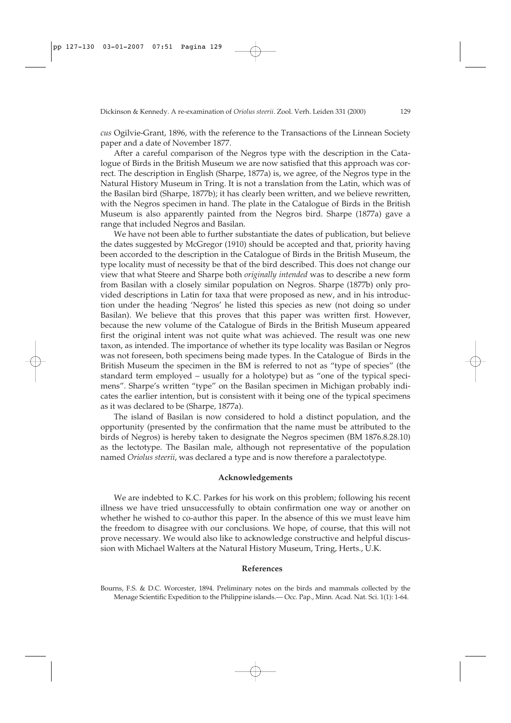*cus* Ogilvie-Grant, 1896, with the reference to the Transactions of the Linnean Society paper and a date of November 1877.

After a careful comparison of the Negros type with the description in the Catalogue of Birds in the British Museum we are now satisfied that this approach was correct. The description in English (Sharpe, 1877a) is, we agree, of the Negros type in the Natural History Museum in Tring. It is not a translation from the Latin, which was of the Basilan bird (Sharpe, 1877b); it has clearly been written, and we believe rewritten, with the Negros specimen in hand. The plate in the Catalogue of Birds in the British Museum is also apparently painted from the Negros bird. Sharpe (1877a) gave a range that included Negros and Basilan.

We have not been able to further substantiate the dates of publication, but believe the dates suggested by McGregor (1910) should be accepted and that, priority having been accorded to the description in the Catalogue of Birds in the British Museum, the type locality must of necessity be that of the bird described. This does not change our view that what Steere and Sharpe both *originally intended* was to describe a new form from Basilan with a closely similar population on Negros. Sharpe (1877b) only provided descriptions in Latin for taxa that were proposed as new, and in his introduction under the heading 'Negros' he listed this species as new (not doing so under Basilan). We believe that this proves that this paper was written first. However, because the new volume of the Catalogue of Birds in the British Museum appeared first the original intent was not quite what was achieved. The result was one new taxon, as intended. The importance of whether its type locality was Basilan or Negros was not foreseen, both specimens being made types. In the Catalogue of Birds in the British Museum the specimen in the BM is referred to not as "type of species" (the standard term employed – usually for a holotype) but as "one of the typical specimens". Sharpe's written "type" on the Basilan specimen in Michigan probably indicates the earlier intention, but is consistent with it being one of the typical specimens as it was declared to be (Sharpe, 1877a).

The island of Basilan is now considered to hold a distinct population, and the opportunity (presented by the confirmation that the name must be attributed to the birds of Negros) is hereby taken to designate the Negros specimen (BM 1876.8.28.10) as the lectotype. The Basilan male, although not representative of the population named *Oriolus steerii*, was declared a type and is now therefore a paralectotype.

### **Acknowledgements**

We are indebted to K.C. Parkes for his work on this problem; following his recent illness we have tried unsuccessfully to obtain confirmation one way or another on whether he wished to co-author this paper. In the absence of this we must leave him the freedom to disagree with our conclusions. We hope, of course, that this will not prove necessary. We would also like to acknowledge constructive and helpful discussion with Michael Walters at the Natural History Museum, Tring, Herts., U.K.

#### **References**

Bourns, F.S. & D.C. Worcester, 1894. Preliminary notes on the birds and mammals collected by the Menage Scientific Expedition to the Philippine islands.— Occ. Pap., Minn. Acad. Nat. Sci. 1(1): 1-64.